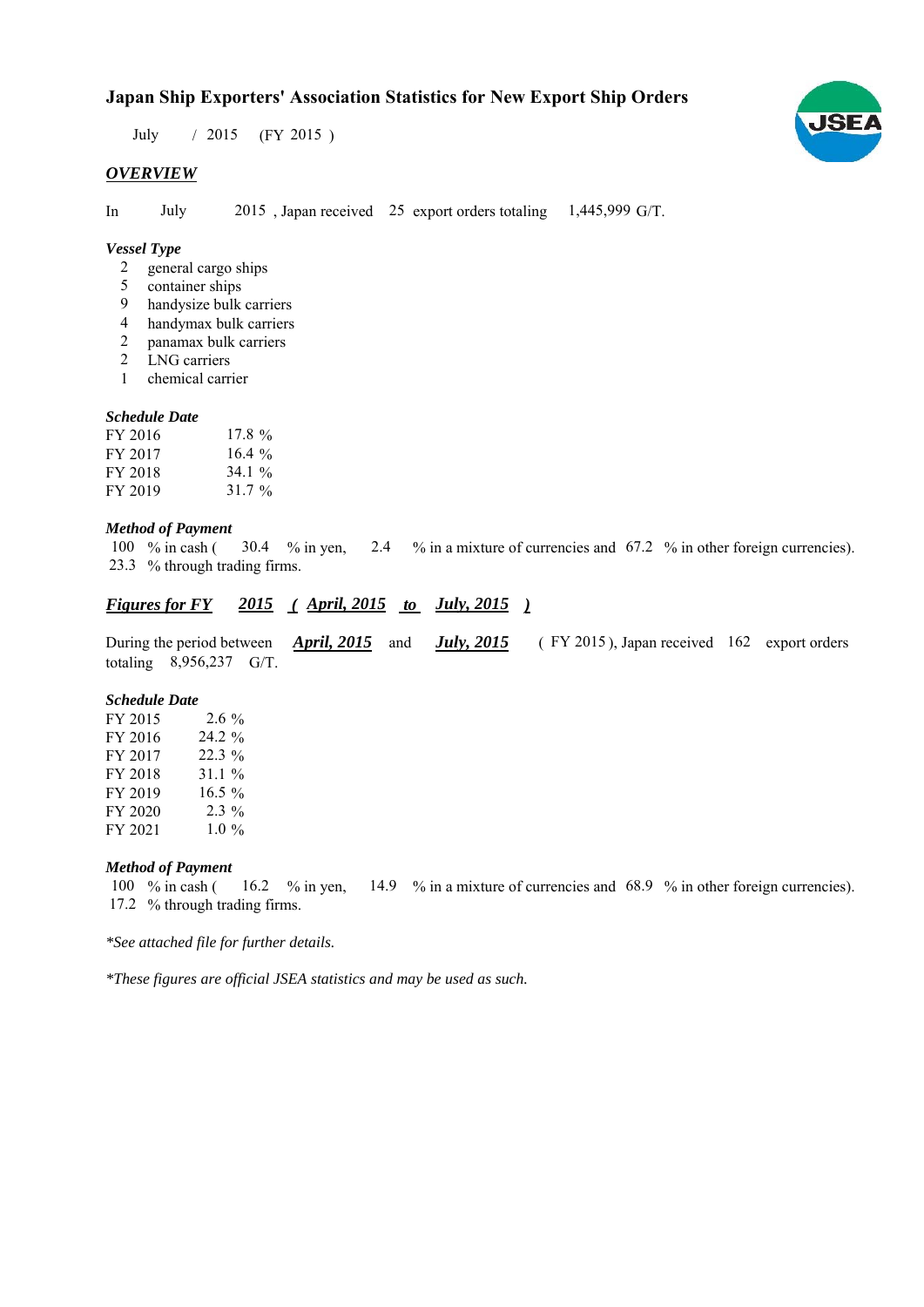# **Japan Ship Exporters' Association Statistics for New Export Ship Orders**

July / 2015 (FY 2015)

#### *OVERVIEW*

In July  $2015$ , Japan received 25 export orders totaling  $1,445,999$  G/T.

## *Vessel Type*

- general cargo ships 2
- container ships 5
- handysize bulk carriers 9
- handymax bulk carriers 4
- panamax bulk carriers 2
- LNG carriers 2
- chemical carrier 1

#### *Schedule Date*

| FY 2016 | 17.8 $\%$ |
|---------|-----------|
| FY 2017 | $16.4\%$  |
| FY 2018 | 34.1 $\%$ |
| FY 2019 | 31.7 $\%$ |

#### *Method of Payment*

% in cash ( $\frac{30.4}{8}$  m yen,  $\frac{2.4}{8}$  m a mixture of currencies and 67.2 % in other foreign currencies). % through trading firms. 23.3100 % in cash (30.4 % in yen,

## *Figures for FY* 2015 (April, 2015 *to July, 2015*)

During the period between **April, 2015** and **July, 2015** (FY 2015), Japan received 162 export orders totaling 8,956,237 G/T. *April, 2015 July, 2015*

#### *Schedule Date*

| FY 2015 | $2.6\%$  |
|---------|----------|
| FY 2016 | 24.2 %   |
| FY 2017 | $22.3\%$ |
| FY 2018 | 31.1%    |
| FY 2019 | $16.5\%$ |
| FY 2020 | $2.3\%$  |
| FY 2021 | $1.0\%$  |

#### *Method of Payment*

% in cash ( $\frac{16.2}{8}$  % in yen,  $\frac{14.9}{8}$  % in a mixture of currencies and 68.9 % in other foreign currencies). 17.2 % through trading firms. 100  $%$  in cash (

*\*See attached file for further details.*

*\*These figures are official JSEA statistics and may be used as such.*

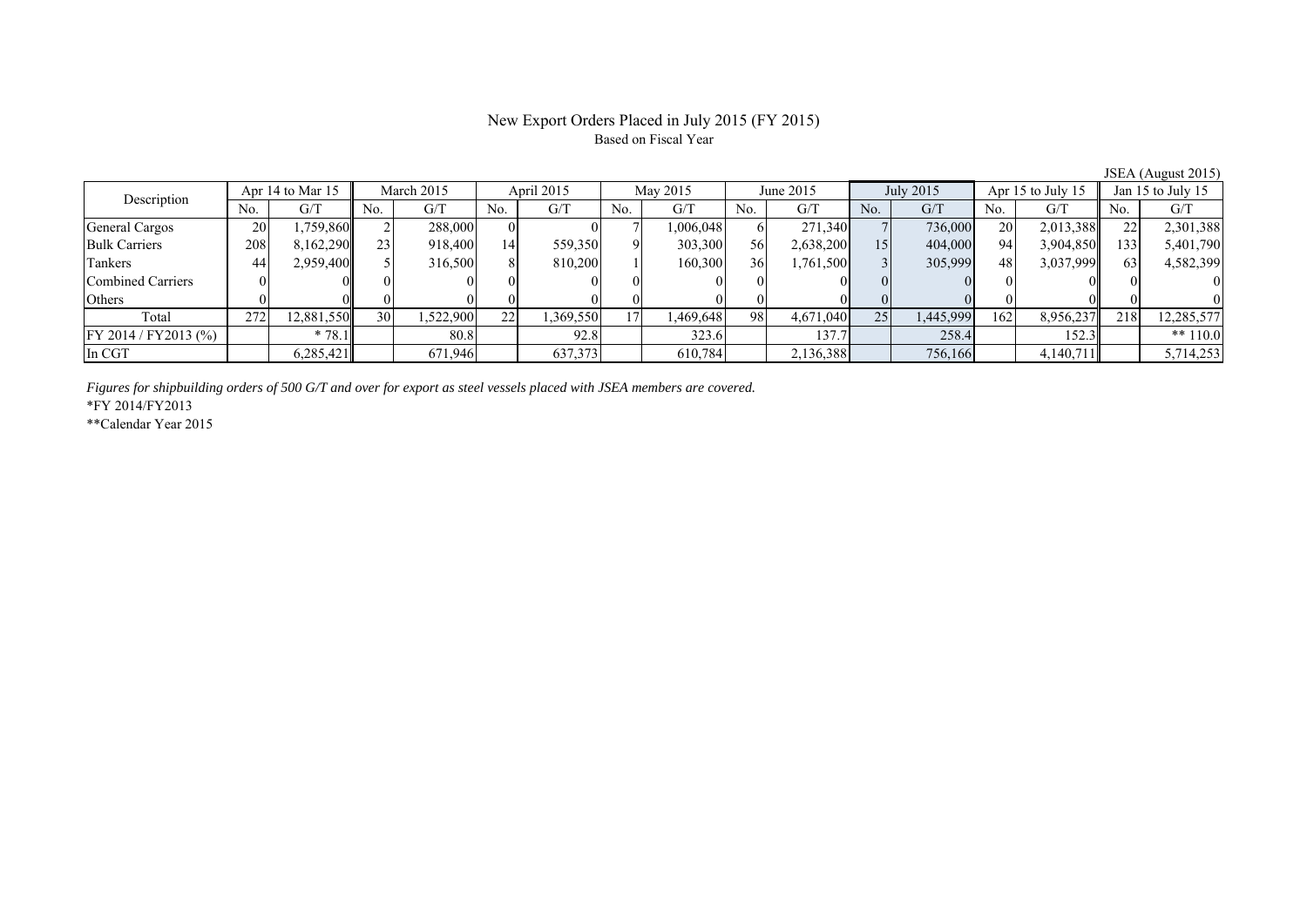## New Export Orders Placed in July 2015 (FY 2015) Based on Fiscal Year

JSEA (August 2015)

| Description              |      | Apr 14 to Mar 15 |     | March 2015 |     | April 2015 |                 | May 2015 |     | June 2015 |     | July 2015 |     | Apr 15 to July 15 |     | Jan 15 to July 15 |
|--------------------------|------|------------------|-----|------------|-----|------------|-----------------|----------|-----|-----------|-----|-----------|-----|-------------------|-----|-------------------|
|                          | No.  | G/T              | No. | G/T        | No. | G/T        | No.             | G/T      | No. | G/T       | No. | G/T       | No. | G/T               | No. | G/T               |
| General Cargos           | 20   | 1,759,860        |     | 288,000    |     |            |                 | .006,048 |     | 271,340   |     | 736,000   | 20  | 2,013,388         |     | 2,301,388         |
| <b>Bulk Carriers</b>     | 2081 | 8,162,290        |     | 918,400    | 14  | 559,350    |                 | 303,300  | 56  | 2,638,200 | 15  | 404,000   | 94  | 3,904,850         | 133 | 5,401,790         |
| Tankers                  | 44   | 2,959,400        |     | 316,500    |     | 810,200    |                 | 160,300  | 36  | 1,761,500 |     | 305,999   | 48  | 3,037,999         | 631 | 4,582,399         |
| <b>Combined Carriers</b> |      |                  |     |            |     |            |                 |          |     |           |     |           |     |                   |     |                   |
| Others                   |      |                  |     |            |     |            |                 |          |     |           |     |           |     |                   |     |                   |
| Total                    | 272  | 12,881,550       | 30  | .522,900   | 22  | 1,369,550  | 17 <sup>1</sup> | .469,648 | 981 | 4,671,040 | 25  | 1,445,999 | 162 | 8,956,237         | 218 | 12,285,577        |
| FY 2014 / FY 2013 (%)    |      | 78.1             |     | 80.8       |     | 92.8       |                 | 323.6    |     | 137.7     |     | 258.4     |     | 152.3             |     | ** $110.0$        |
| In CGT                   |      | 6,285,421        |     | 671,946    |     | 637,373    |                 | 610,784  |     | 2,136,388 |     | 756,166   |     | 4,140,711         |     | 5,714,253         |

*Figures for shipbuilding orders of 500 G/T and over for export as steel vessels placed with JSEA members are covered.*

\*FY 2014/FY2013

\*\*Calendar Year 2015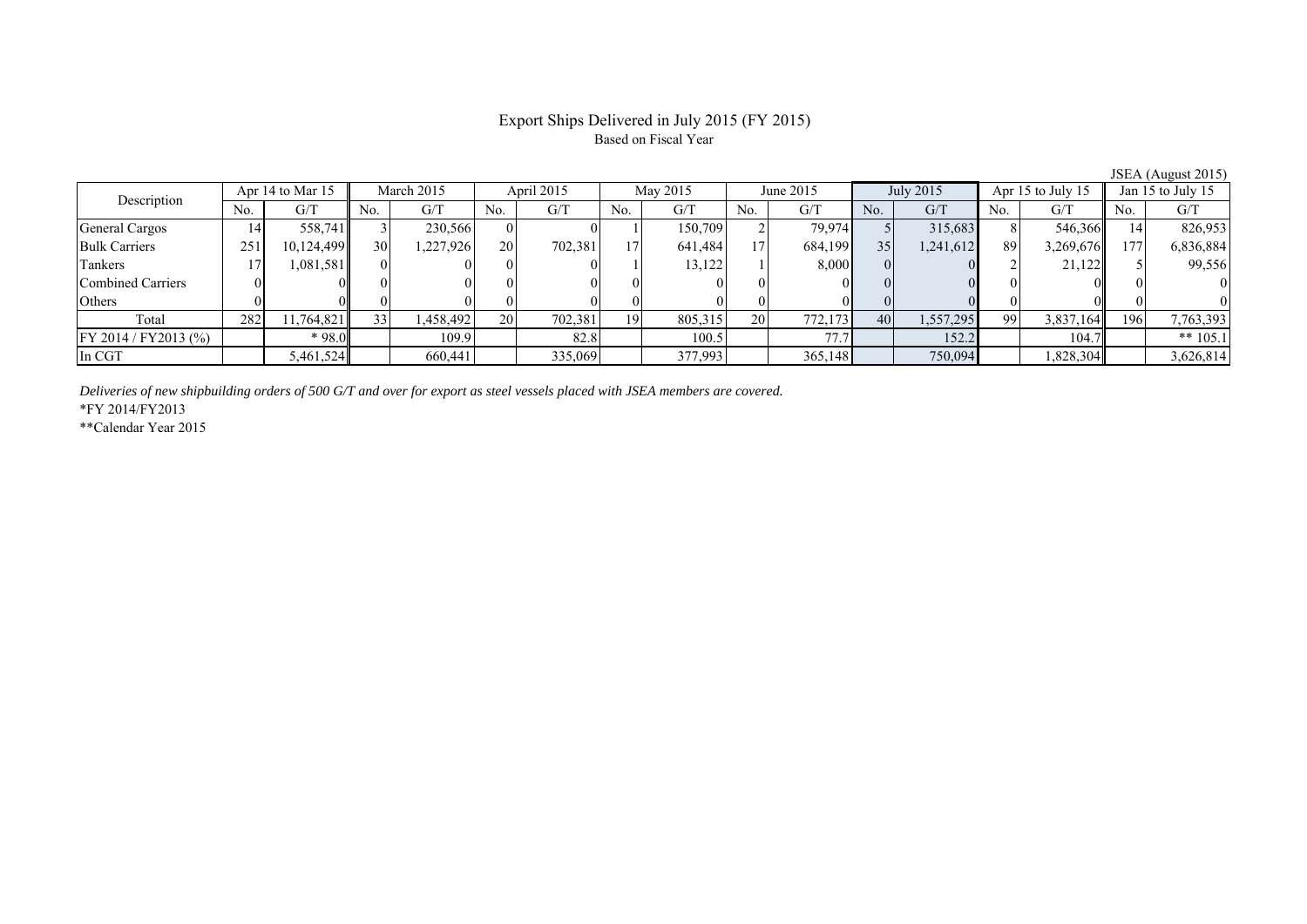## Export Ships Delivered in July 2015 (FY 2015) Based on Fiscal Year

| JU111111454012012     |     |                  |     |            |     |            |     |          |           |           |     |           |     |                   |             |                   |
|-----------------------|-----|------------------|-----|------------|-----|------------|-----|----------|-----------|-----------|-----|-----------|-----|-------------------|-------------|-------------------|
| Description           |     | Apr 14 to Mar 15 |     | March 2015 |     | April 2015 |     | May 2015 |           | June 2015 |     | July 2015 |     | Apr 15 to July 15 |             | Jan 15 to July 15 |
|                       | No. | G/T              | No. | G/T        | No. | G/T        | No. | G/T      | No.       | G/T       | No. | G/T       | No. | G/T               | No.         | G/T               |
| General Cargos        | 14' | 558,741          |     | 230,566    |     |            |     | 150.709  |           | 79.974    |     | 315,683   |     | 546,366           |             | 826,953           |
| <b>Bulk Carriers</b>  | 251 | 10,124,499       | 30  | 227,926    | 20  | 702.381    | 17  | 641,484  | 17        | 684,199   | 35  | 1,241,612 | 89  | 3,269,676         | $7^{\circ}$ | 6,836,884         |
| Tankers               |     | 1,081,581        |     |            |     |            |     | 13,122   |           | 8,000     |     |           |     | 21,122            |             | 99,556            |
| Combined Carriers     |     |                  |     |            |     |            |     |          |           |           |     |           |     |                   |             | $\theta$          |
| Others                |     |                  |     |            |     |            |     |          |           |           |     |           |     |                   |             |                   |
| Total                 | 282 | 11,764,821       | 331 | 458,492    | 20  | 702,381    | 19  | 805,315  | <b>20</b> | 772.173   | 40  | 1,557,295 | 99  | 3,837,164         | 1961        | 7,763,393         |
| FY 2014 / FY 2013 (%) |     | * 98.0           |     | 109.9      |     | 82.8       |     | 100.5    |           | 77'       |     | 152.2     |     | 104.7             |             | ** $105.1$        |
| In CGT                |     | 5,461,524        |     | 660,441    |     | 335,069    |     | 377,993  |           | 365,148   |     | 750,094   |     | 1,828,304         |             | 3,626,814         |

*Deliveries of new shipbuilding orders of 500 G/T and over for export as steel vessels placed with JSEA members are covered.*

\*FY 2014/FY2013

\*\*Calendar Year 2015

JSEA (August 2015)